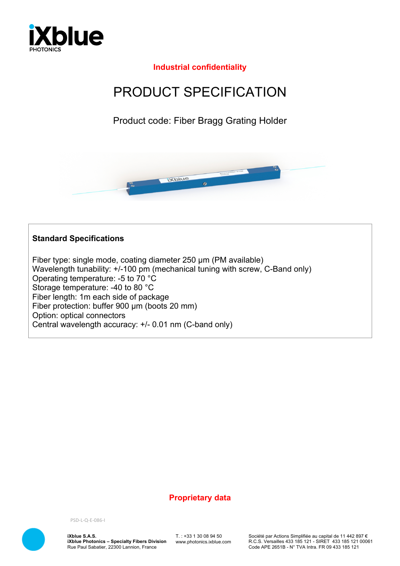

## **Industrial confidentiality**

# PRODUCT SPECIFICATION

Product code: Fiber Bragg Grating Holder



#### **Standard Specifications**

Fiber type: single mode, coating diameter 250 µm (PM available) Wavelength tunability:  $+/-100$  pm (mechanical tuning with screw, C-Band only) Operating temperature: -5 to 70 °C Storage temperature: -40 to 80 °C Fiber length: 1m each side of package Fiber protection: buffer 900 µm (boots 20 mm) Option: optical connectors Central wavelength accuracy: +/- 0.01 nm (C-band only)

#### **Proprietary data**



PSD-L-Q-E-086-I

**iXblue S.A.S. iXblue Photonics – Specialty Fibers Division** Rue Paul Sabatier, 22300 Lannion, France

T. : +33 1 30 08 94 50 www.photonics.ixblue.com Société par Actions Simplifiée au capital de 11 442 897 € R.C.S. Versailles 433 185 121 - SIRET 433 185 121 00061 Code APE 2651B - N° TVA Intra. FR 09 433 185 121